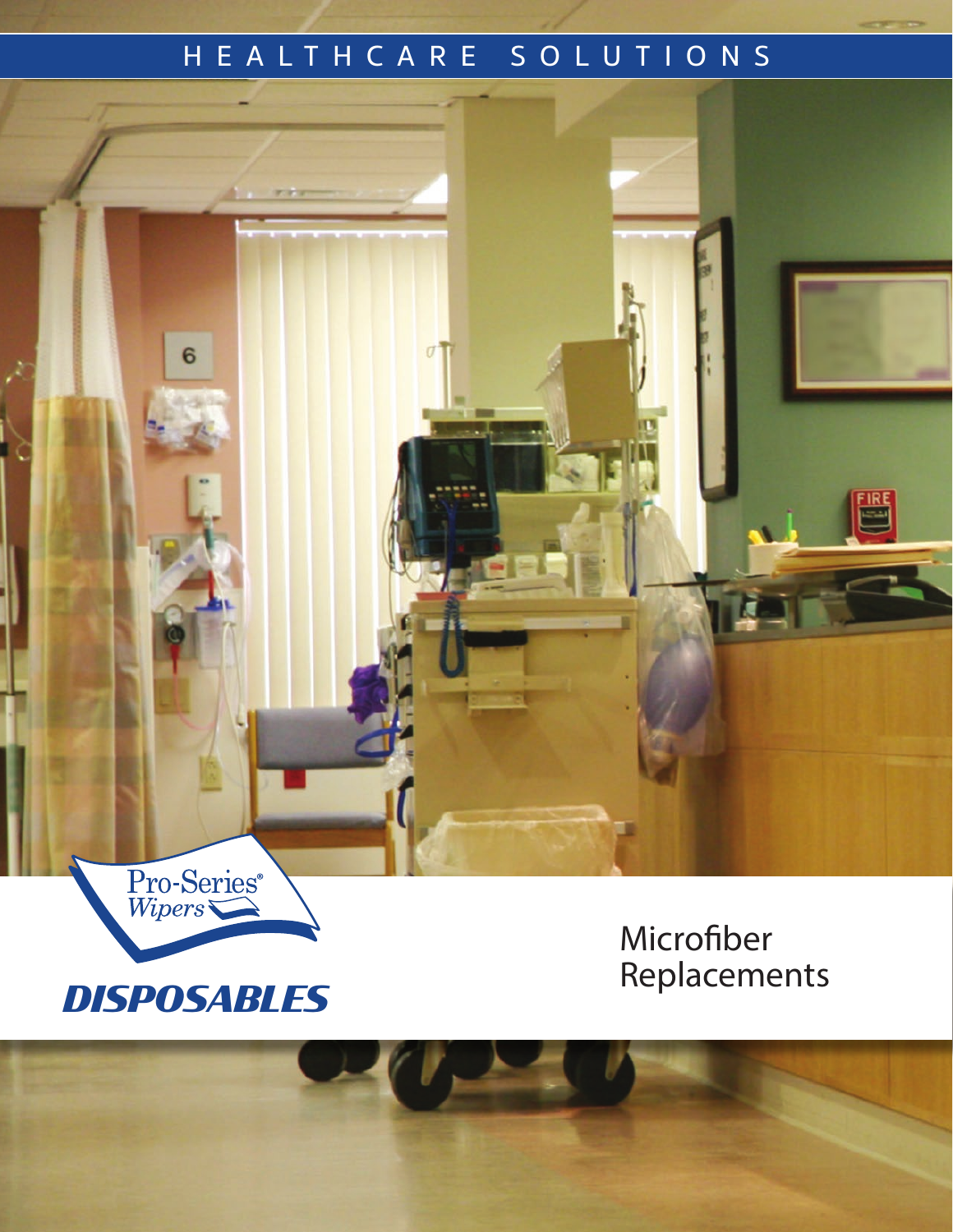## HEALTHCARE SOLUTIONS



 $6\phantom{1}$ 

Replacements *DISPOSABLES*

Microfiber<br>Replacements